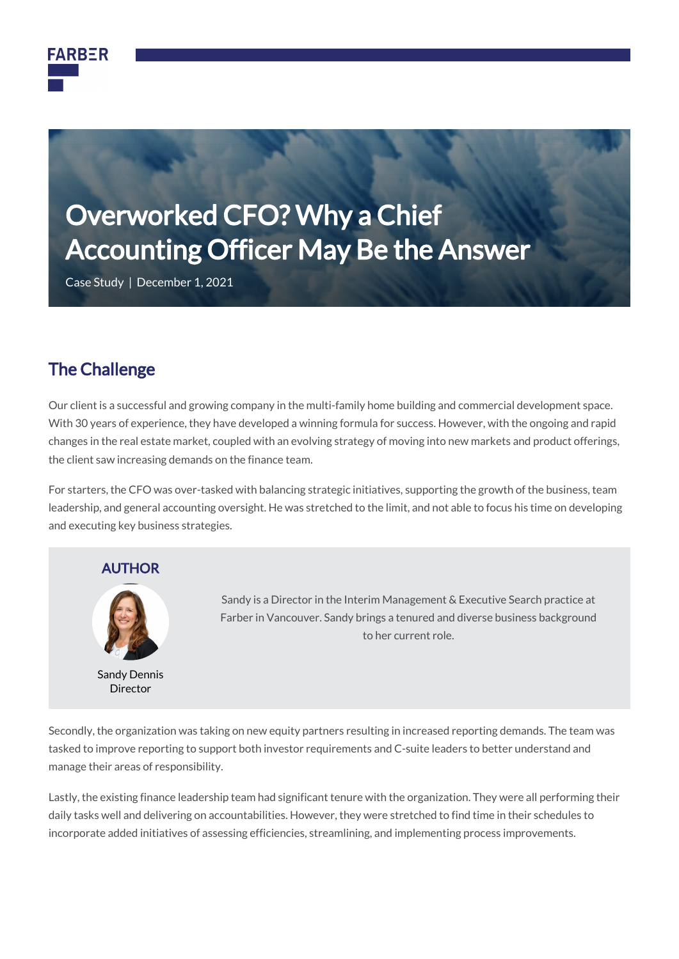

# Overworked CFO? Why a Chief Accounting Officer May Be the Answer

Case Study | December 1, 2021

### The Challenge

Our client is a successful and growing company in the multi-family home building and commercial development space. With 30 years of experience, they have developed a winning formula for success. However, with the ongoing and rapid changes in the real estate market, coupled with an evolving strategy of moving into new markets and product offerings, the client saw increasing demands on the finance team.

For starters, the CFO was over-tasked with balancing strategic initiatives, supporting the growth of the business, team leadership, and general accounting oversight. He was stretched to the limit, and not able to focus his time on developing and executing key business strategies.





Sandy Dennis Director

Sandy is a Director in the Interim Management & Executive Search practice at Farber in Vancouver. Sandy brings a tenured and diverse business background to her current role.

Secondly, the organization was taking on new equity partners resulting in increased reporting demands. The team was tasked to improve reporting to support both investor requirements and C-suite leaders to better understand and manage their areas of responsibility.

Lastly, the existing finance leadership team had significant tenure with the organization. They were all performing their daily tasks well and delivering on accountabilities. However, they were stretched to find time in their schedules to incorporate added initiatives of assessing efficiencies, streamlining, and implementing process improvements.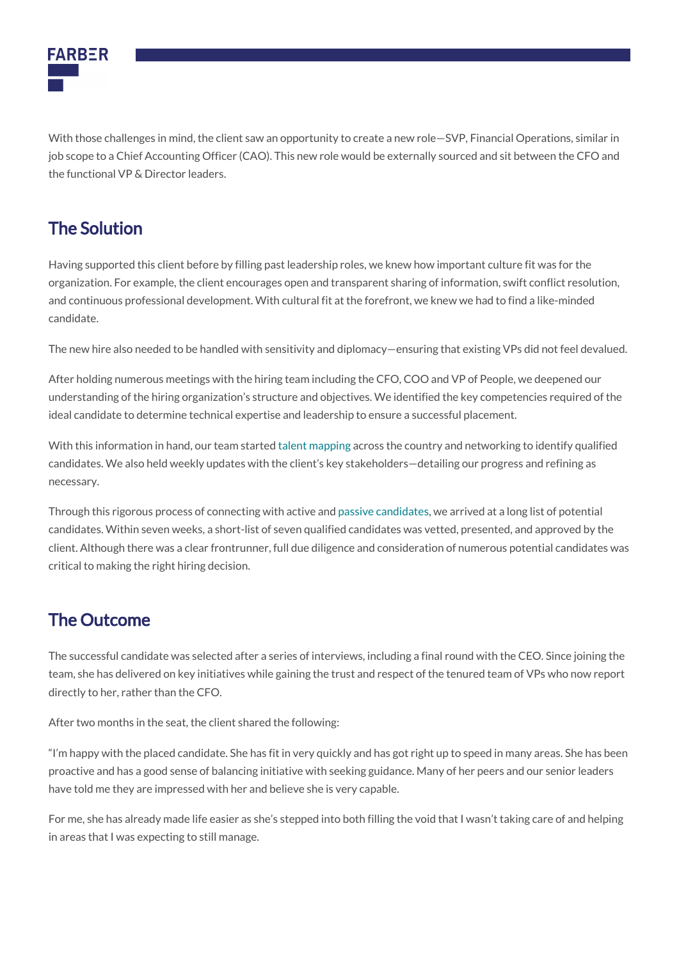

With those challenges in mind, the client saw an opportunity to create a new role—SVP, Financial Operations, similar in job scope to a Chief Accounting Officer (CAO). This new role would be externally sourced and sit between the CFO and the functional VP & Director leaders.

# The Solution

Having supported this client before by filling past leadership roles, we knew how important culture fit was for the organization. For example, the client encourages open and transparent sharing of information, swift conflict resolution, and continuous professional development. With cultural fit at the forefront, we knew we had to find a like-minded candidate.

The new hire also needed to be handled with sensitivity and diplomacy—ensuring that existing VPs did not feel devalued.

After holding numerous meetings with the hiring team including the CFO, COO and VP of People, we deepened our understanding of the hiring organization's structure and objectives. We identified the key competencies required of the ideal candidate to determine technical expertise and leadership to ensure a successful placement.

With this information in hand, our team started [talent mapping](https://www.predictiveindex.com/blog/what-is-talent-mapping/) across the country and networking to identify qualified candidates. We also held weekly updates with the client's key stakeholders—detailing our progress and refining as necessary.

Through this rigorous process of connecting with active and [passive candidates](https://farbergroup.com/articles/passive-talent-candidates/), we arrived at a long list of potential candidates. Within seven weeks, a short-list of seven qualified candidates was vetted, presented, and approved by the client. Although there was a clear frontrunner, full due diligence and consideration of numerous potential candidates was critical to making the right hiring decision.

# The Outcome

The successful candidate was selected after a series of interviews, including a final round with the CEO. Since joining the team, she has delivered on key initiatives while gaining the trust and respect of the tenured team of VPs who now report directly to her, rather than the CFO.

After two months in the seat, the client shared the following:

"I'm happy with the placed candidate. She has fit in very quickly and has got right up to speed in many areas. She has been proactive and has a good sense of balancing initiative with seeking guidance. Many of her peers and our senior leaders have told me they are impressed with her and believe she is very capable.

For me, she has already made life easier as she's stepped into both filling the void that I wasn't taking care of and helping in areas that I was expecting to still manage.